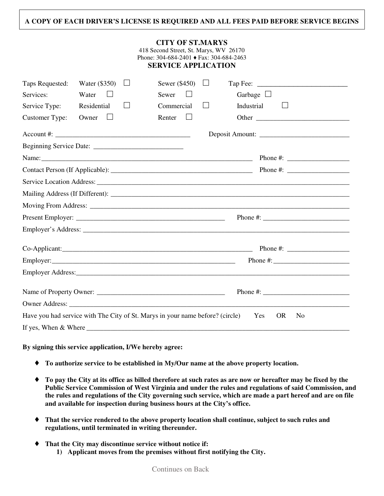## **A COPY OF EACH DRIVER'S LICENSE IS REQUIRED AND ALL FEES PAID BEFORE SERVICE BEGINS**

| <b>CITY OF ST.MARYS</b><br>418 Second Street, St. Marys, WV 26170<br>Phone: 304-684-2401 ♦ Fax: 304-684-2463<br><b>SERVICE APPLICATION</b> |               |                   |                   |                   |                                  |  |
|--------------------------------------------------------------------------------------------------------------------------------------------|---------------|-------------------|-------------------|-------------------|----------------------------------|--|
| Taps Requested:                                                                                                                            | Water (\$350) | $\vert \ \ \vert$ | Sewer $(\$450)$   | $\Box$            |                                  |  |
| Services:                                                                                                                                  | Water         |                   | Sewer             |                   | Garbage $\Box$                   |  |
| Service Type:                                                                                                                              | Residential   | $\vert \ \ \vert$ | Commercial        | $\vert \ \ \vert$ | Industrial                       |  |
| Customer Type:                                                                                                                             | Owner         |                   | Renter<br>$\perp$ |                   |                                  |  |
| $\text{Account #:}$                                                                                                                        |               |                   |                   |                   |                                  |  |
|                                                                                                                                            |               |                   |                   |                   |                                  |  |
|                                                                                                                                            |               |                   |                   |                   |                                  |  |
|                                                                                                                                            |               |                   |                   |                   |                                  |  |
|                                                                                                                                            |               |                   |                   |                   |                                  |  |
|                                                                                                                                            |               |                   |                   |                   |                                  |  |
|                                                                                                                                            |               |                   |                   |                   |                                  |  |
|                                                                                                                                            |               |                   |                   |                   |                                  |  |
|                                                                                                                                            |               |                   |                   |                   |                                  |  |
|                                                                                                                                            |               |                   |                   |                   | Phone #: $\frac{1}{2}$ = 0.000 m |  |
|                                                                                                                                            |               |                   |                   |                   |                                  |  |
|                                                                                                                                            |               |                   |                   |                   |                                  |  |
|                                                                                                                                            |               |                   |                   |                   |                                  |  |
|                                                                                                                                            |               |                   |                   |                   |                                  |  |
| Have you had service with The City of St. Marys in your name before? (circle)<br>OR.<br>N <sub>0</sub><br><b>Yes</b>                       |               |                   |                   |                   |                                  |  |
| If yes, When & Where                                                                                                                       |               |                   |                   |                   |                                  |  |

## **By signing this service application, I/We hereby agree:**

- ♦ **To authorize service to be established in My/Our name at the above property location.**
- ♦ **To pay the City at its office as billed therefore at such rates as are now or hereafter may be fixed by the Public Service Commission of West Virginia and under the rules and regulations of said Commission, and the rules and regulations of the City governing such service, which are made a part hereof and are on file and available for inspection during business hours at the City's office.**
- ♦ **That the service rendered to the above property location shall continue, subject to such rules and regulations, until terminated in writing thereunder.**
- ♦ **That the City may discontinue service without notice if:** 
	- **1) Applicant moves from the premises without first notifying the City.**